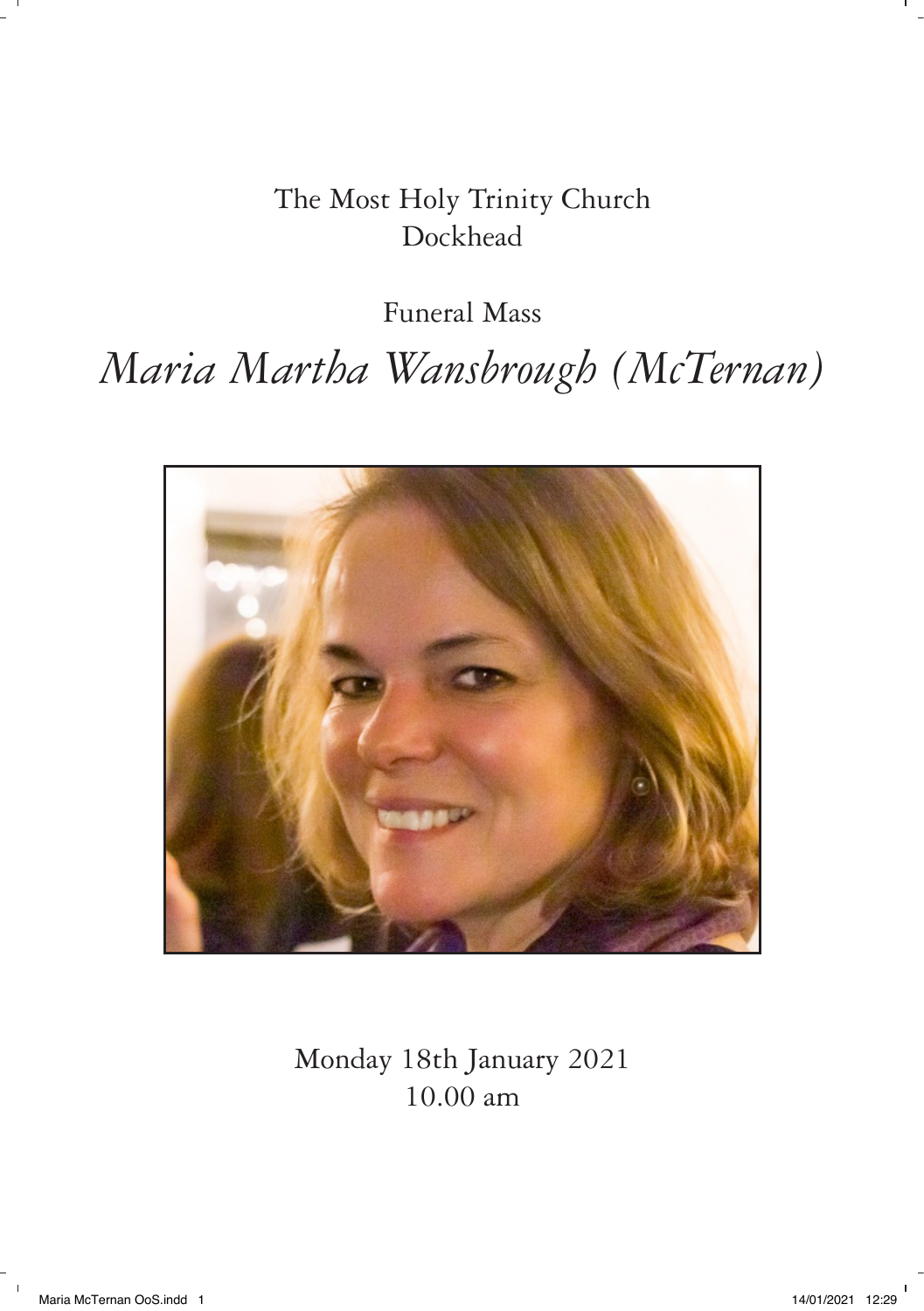The Most Holy Trinity Church Dockhead

Funeral Mass

*Maria Martha Wansbrough (McTernan)*



Monday 18th January 2021 10.00 am

 $\sim 1$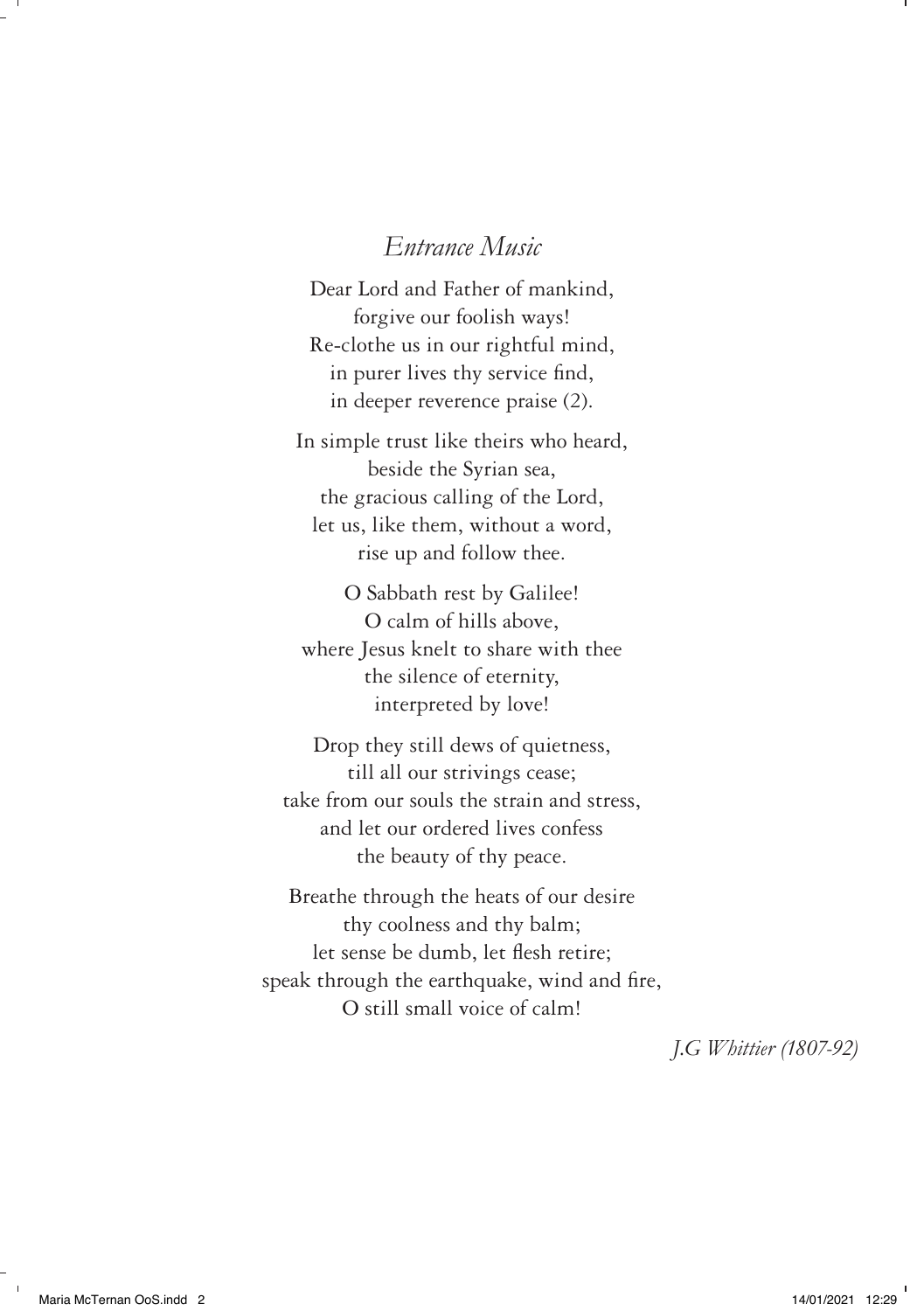### *Entrance Music*

Dear Lord and Father of mankind, forgive our foolish ways! Re-clothe us in our rightful mind, in purer lives thy service find, in deeper reverence praise (2).

In simple trust like theirs who heard, beside the Syrian sea, the gracious calling of the Lord, let us, like them, without a word, rise up and follow thee.

O Sabbath rest by Galilee! O calm of hills above, where Jesus knelt to share with thee the silence of eternity, interpreted by love!

Drop they still dews of quietness, till all our strivings cease; take from our souls the strain and stress, and let our ordered lives confess the beauty of thy peace.

Breathe through the heats of our desire thy coolness and thy balm; let sense be dumb, let flesh retire; speak through the earthquake, wind and fire, O still small voice of calm!

*J.G Whittier (1807-92)*

 $\blacksquare$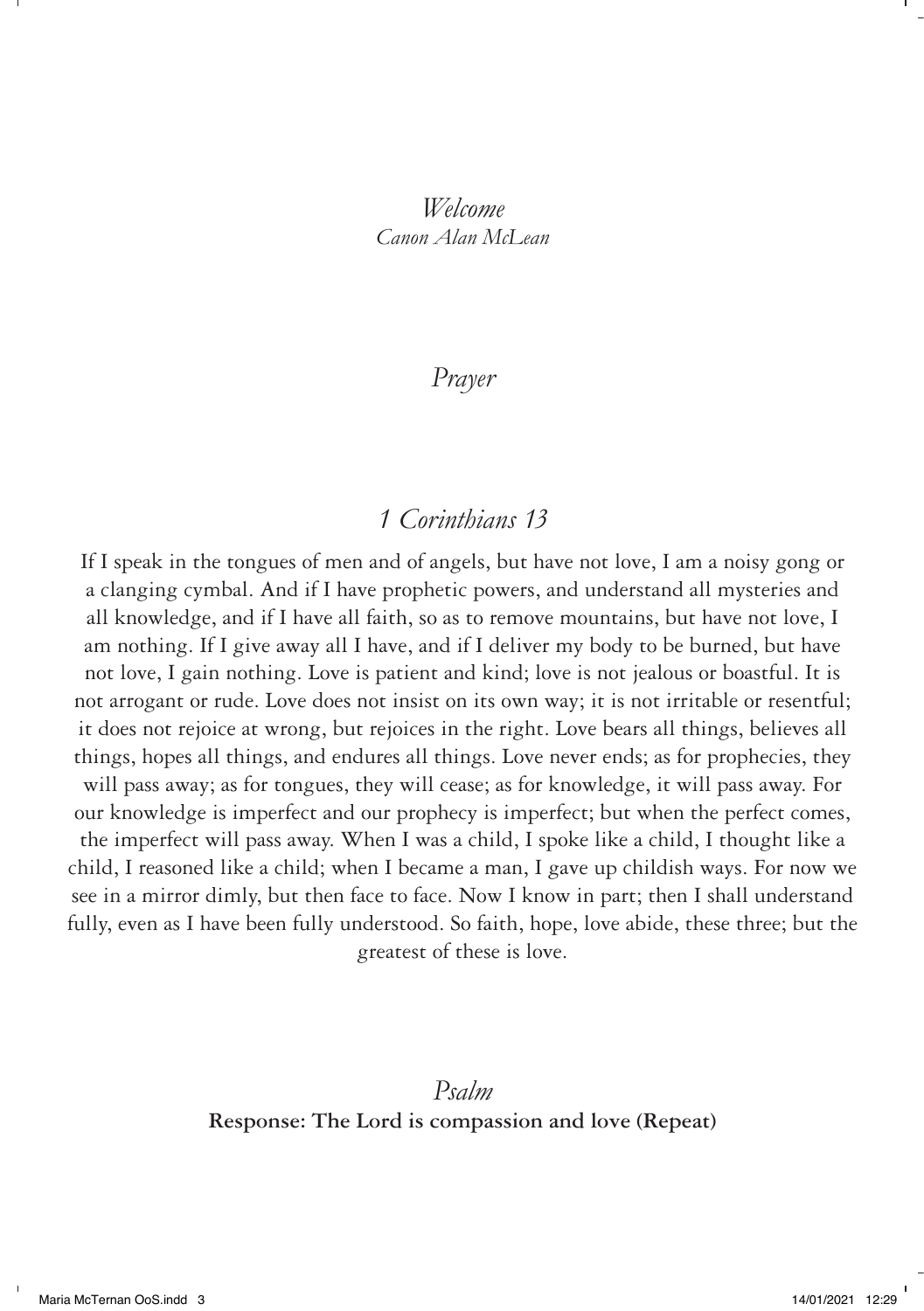### *Welcome Canon Alan McLean*

## *Prayer*

## *1 Corinthians 13*

If I speak in the tongues of men and of angels, but have not love, I am a noisy gong or a clanging cymbal. And if I have prophetic powers, and understand all mysteries and all knowledge, and if I have all faith, so as to remove mountains, but have not love, I am nothing. If I give away all I have, and if I deliver my body to be burned, but have not love, I gain nothing. Love is patient and kind; love is not jealous or boastful. It is not arrogant or rude. Love does not insist on its own way; it is not irritable or resentful; it does not rejoice at wrong, but rejoices in the right. Love bears all things, believes all things, hopes all things, and endures all things. Love never ends; as for prophecies, they will pass away; as for tongues, they will cease; as for knowledge, it will pass away. For our knowledge is imperfect and our prophecy is imperfect; but when the perfect comes, the imperfect will pass away. When I was a child, I spoke like a child, I thought like a child, I reasoned like a child; when I became a man, I gave up childish ways. For now we see in a mirror dimly, but then face to face. Now I know in part; then I shall understand fully, even as I have been fully understood. So faith, hope, love abide, these three; but the greatest of these is love.

> *Psalm* **Response: The Lord is compassion and love (Repeat)**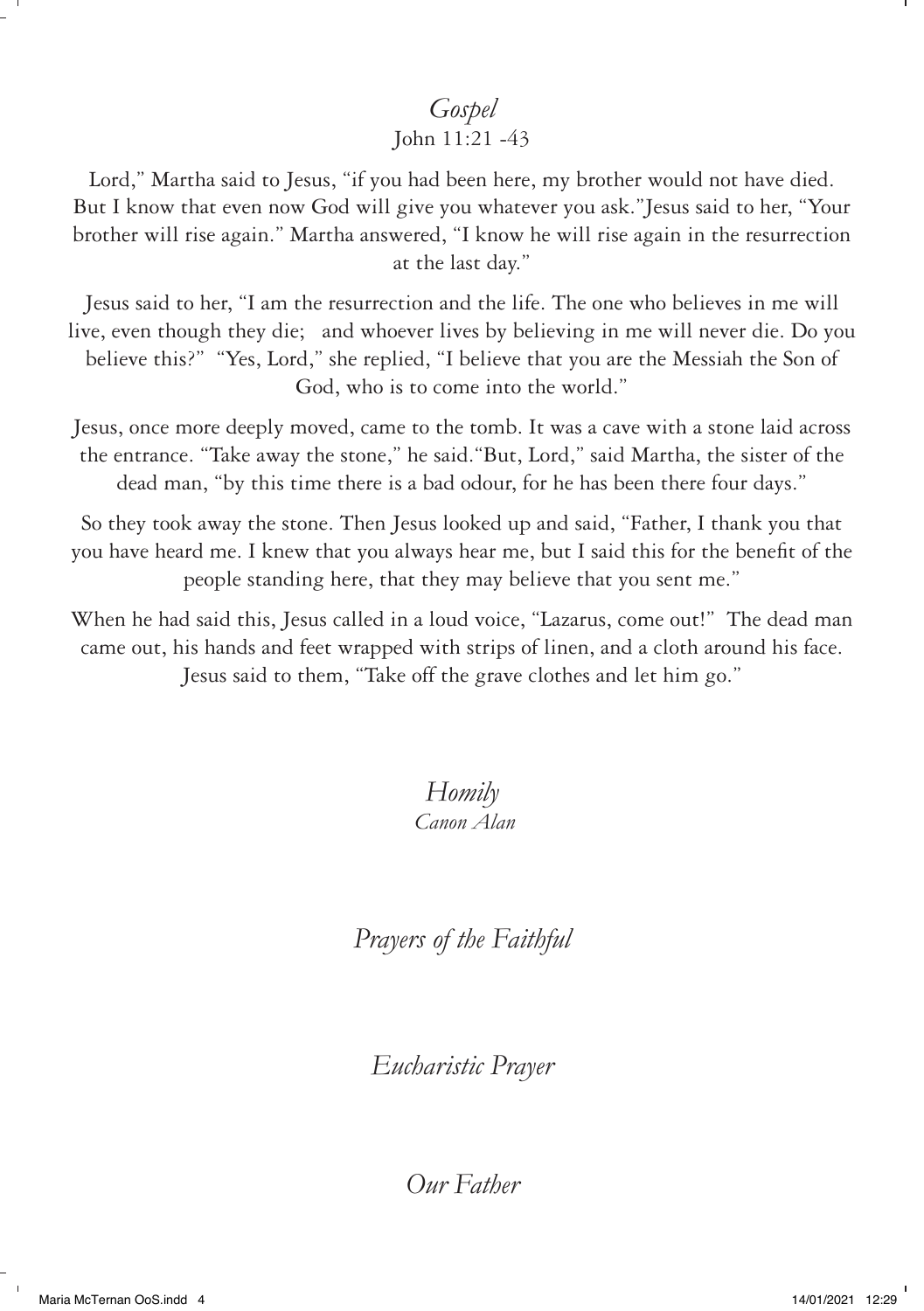# *Gospel*

#### John 11:21 -43

Lord," Martha said to Jesus, "if you had been here, my brother would not have died. But I know that even now God will give you whatever you ask."Jesus said to her, "Your brother will rise again." Martha answered, "I know he will rise again in the resurrection at the last day."

Jesus said to her, "I am the resurrection and the life. The one who believes in me will live, even though they die; and whoever lives by believing in me will never die. Do you believe this?" "Yes, Lord," she replied, "I believe that you are the Messiah the Son of God, who is to come into the world."

Jesus, once more deeply moved, came to the tomb. It was a cave with a stone laid across the entrance. "Take away the stone," he said."But, Lord," said Martha, the sister of the dead man, "by this time there is a bad odour, for he has been there four days."

So they took away the stone. Then Jesus looked up and said, "Father, I thank you that you have heard me. I knew that you always hear me, but I said this for the benefit of the people standing here, that they may believe that you sent me."

When he had said this, Jesus called in a loud voice, "Lazarus, come out!" The dead man came out, his hands and feet wrapped with strips of linen, and a cloth around his face. Jesus said to them, "Take off the grave clothes and let him go."

> *Homily Canon Alan*

*Prayers of the Faithful* 

*Eucharistic Prayer*

*Our Father*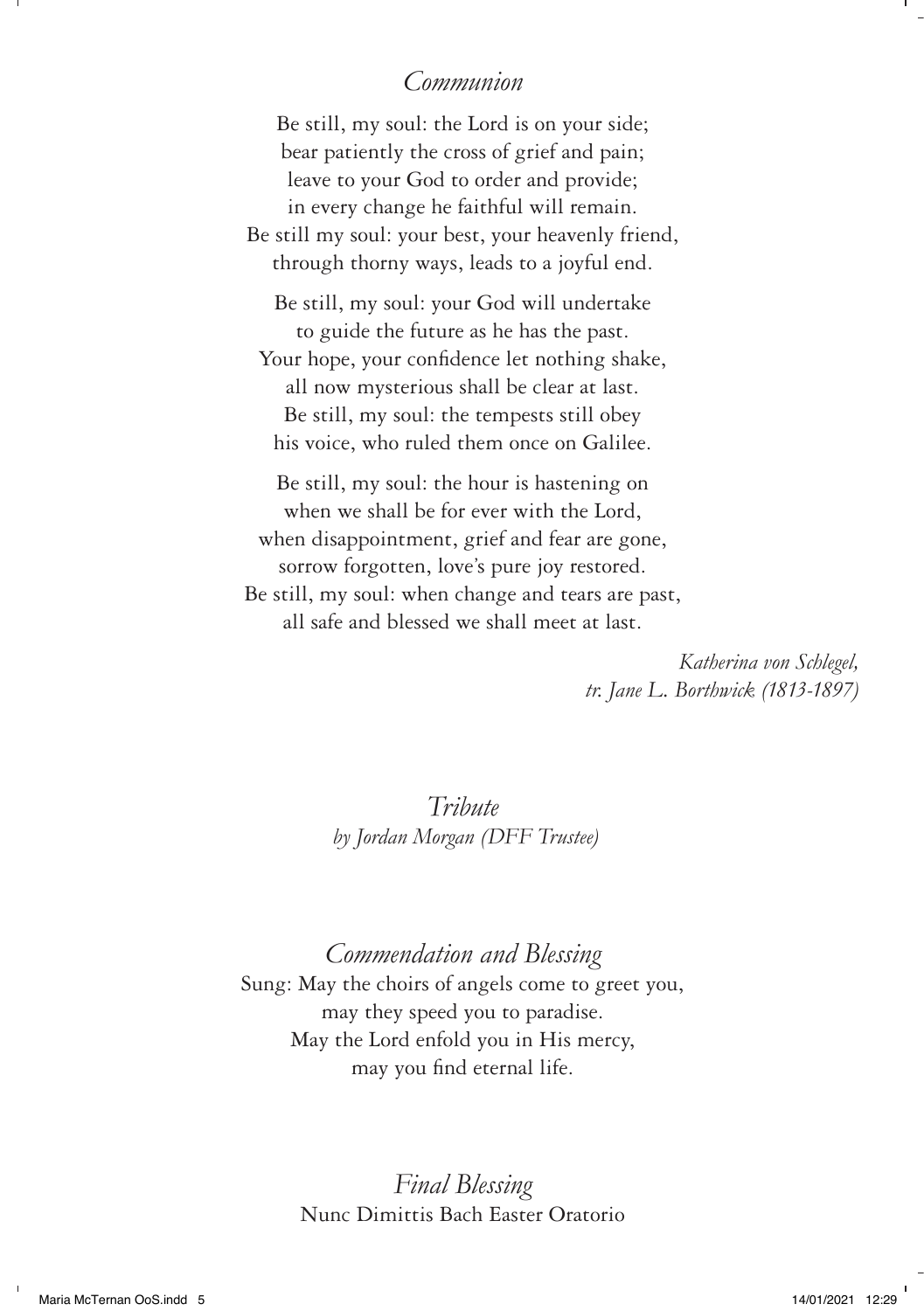### *Communion*

Be still, my soul: the Lord is on your side; bear patiently the cross of grief and pain; leave to your God to order and provide; in every change he faithful will remain. Be still my soul: your best, your heavenly friend, through thorny ways, leads to a joyful end. Be still, my soul: your God will undertake to guide the future as he has the past. Your hope, your confidence let nothing shake, all now mysterious shall be clear at last. Be still, my soul: the tempests still obey his voice, who ruled them once on Galilee.

Be still, my soul: the hour is hastening on when we shall be for ever with the Lord, when disappointment, grief and fear are gone, sorrow forgotten, love's pure joy restored. Be still, my soul: when change and tears are past, all safe and blessed we shall meet at last.

> *Katherina von Schlegel, tr. Jane L. Borthwick (1813-1897)*

*Tribute by Jordan Morgan (DFF Trustee)*

*Commendation and Blessing* Sung: May the choirs of angels come to greet you, may they speed you to paradise. May the Lord enfold you in His mercy, may you find eternal life.

> *Final Blessing*  Nunc Dimittis Bach Easter Oratorio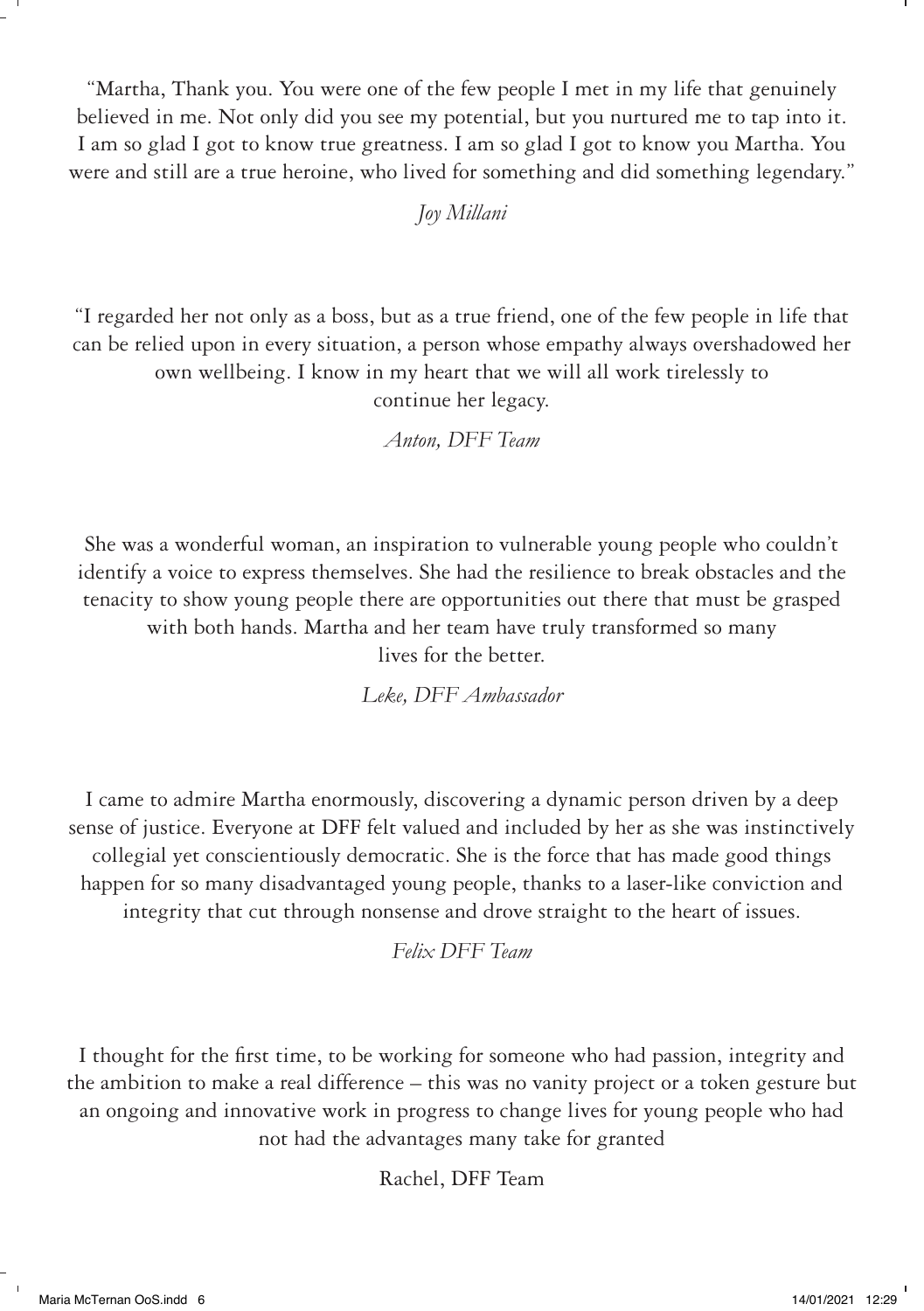"Martha, Thank you. You were one of the few people I met in my life that genuinely believed in me. Not only did you see my potential, but you nurtured me to tap into it. I am so glad I got to know true greatness. I am so glad I got to know you Martha. You were and still are a true heroine, who lived for something and did something legendary."

*Joy Millani* 

"I regarded her not only as a boss, but as a true friend, one of the few people in life that can be relied upon in every situation, a person whose empathy always overshadowed her own wellbeing. I know in my heart that we will all work tirelessly to continue her legacy.

*Anton, DFF Team*

She was a wonderful woman, an inspiration to vulnerable young people who couldn't identify a voice to express themselves. She had the resilience to break obstacles and the tenacity to show young people there are opportunities out there that must be grasped with both hands. Martha and her team have truly transformed so many lives for the better.

*Leke, DFF Ambassador*

I came to admire Martha enormously, discovering a dynamic person driven by a deep sense of justice. Everyone at DFF felt valued and included by her as she was instinctively collegial yet conscientiously democratic. She is the force that has made good things happen for so many disadvantaged young people, thanks to a laser-like conviction and integrity that cut through nonsense and drove straight to the heart of issues.

*Felix DFF Team*

I thought for the first time, to be working for someone who had passion, integrity and the ambition to make a real difference – this was no vanity project or a token gesture but an ongoing and innovative work in progress to change lives for young people who had not had the advantages many take for granted

Rachel, DFF Team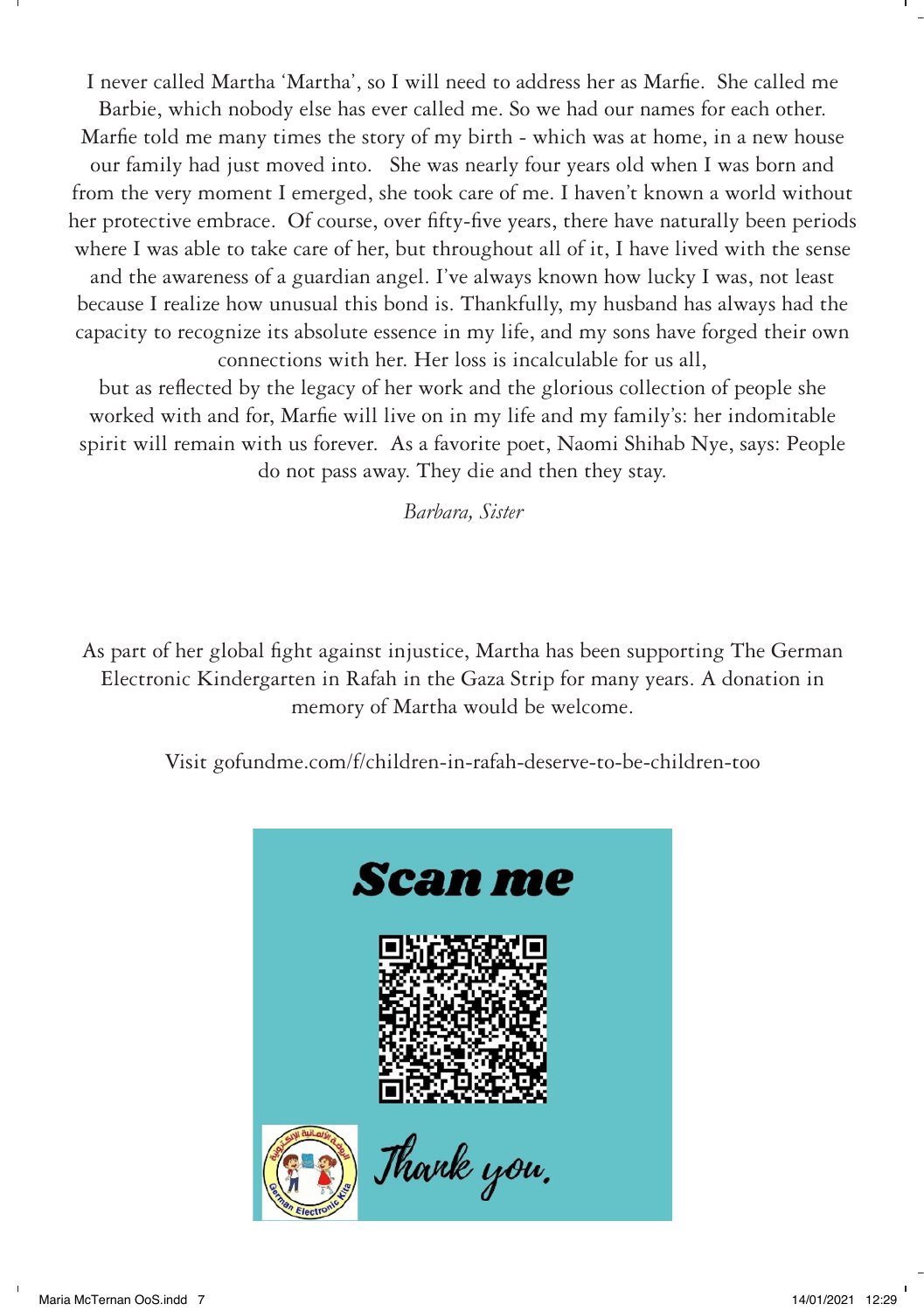I never called Martha 'Martha', so I will need to address her as Marfie. She called me Barbie, which nobody else has ever called me. So we had our names for each other. Marfie told me many times the story of my birth - which was at home, in a new house our family had just moved into. She was nearly four years old when I was born and from the very moment I emerged, she took care of me. I haven't known a world without her protective embrace. Of course, over fifty-five years, there have naturally been periods where I was able to take care of her, but throughout all of it, I have lived with the sense and the awareness of a guardian angel. I've always known how lucky I was, not least because I realize how unusual this bond is. Thankfully, my husband has always had the capacity to recognize its absolute essence in my life, and my sons have forged their own connections with her. Her loss is incalculable for us all,

but as reflected by the legacy of her work and the glorious collection of people she worked with and for, Marfie will live on in my life and my family's: her indomitable spirit will remain with us forever. As a favorite poet, Naomi Shihab Nye, says: People do not pass away. They die and then they stay.

*Barbara, Sister*

As part of her global fight against injustice, Martha has been supporting The German Electronic Kindergarten in Rafah in the Gaza Strip for many years. A donation in memory of Martha would be welcome.

Visit gofundme.com/f/children-in-rafah-deserve-to-be-children-too